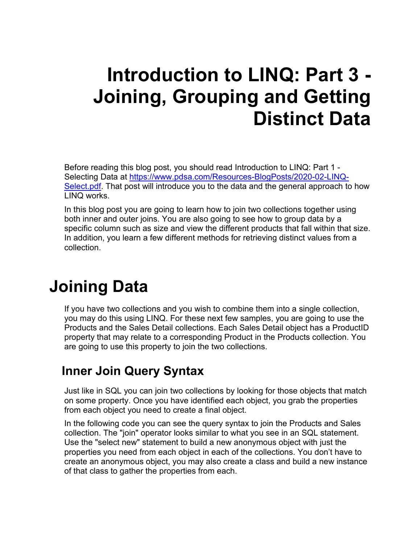# **Introduction to LINQ: Part 3 - Joining, Grouping and Getting Distinct Data**

Before reading this blog post, you should read Introduction to LINQ: Part 1 - Selecting Data at [https://www.pdsa.com/Resources-BlogPosts/2020-02-LINQ-](https://www.pdsa.com/Resources-BlogPosts/2020-02-LINQ-Select.pdf)[Select.pdf.](https://www.pdsa.com/Resources-BlogPosts/2020-02-LINQ-Select.pdf) That post will introduce you to the data and the general approach to how LINQ works.

In this blog post you are going to learn how to join two collections together using both inner and outer joins. You are also going to see how to group data by a specific column such as size and view the different products that fall within that size. In addition, you learn a few different methods for retrieving distinct values from a collection.

# **Joining Data**

If you have two collections and you wish to combine them into a single collection, you may do this using LINQ. For these next few samples, you are going to use the Products and the Sales Detail collections. Each Sales Detail object has a ProductID property that may relate to a corresponding Product in the Products collection. You are going to use this property to join the two collections.

## **Inner Join Query Syntax**

Just like in SQL you can join two collections by looking for those objects that match on some property. Once you have identified each object, you grab the properties from each object you need to create a final object.

In the following code you can see the query syntax to join the Products and Sales collection. The "join" operator looks similar to what you see in an SQL statement. Use the "select new" statement to build a new anonymous object with just the properties you need from each object in each of the collections. You don't have to create an anonymous object, you may also create a class and build a new instance of that class to gather the properties from each.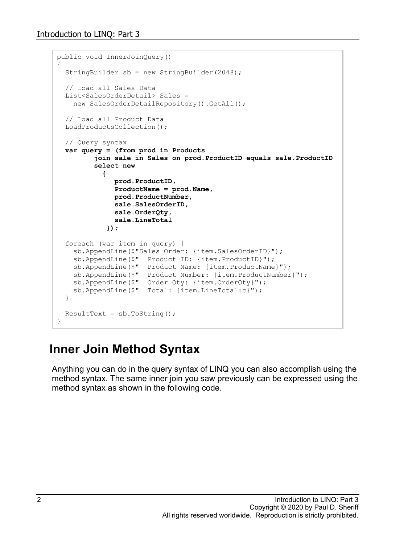```
public void InnerJoinQuery()
{
   StringBuilder sb = new StringBuilder(2048);
   // Load all Sales Data
   List<SalesOrderDetail> Sales = 
   new SalesOrderDetailRepository().GetAll();
   // Load all Product Data
   LoadProductsCollection();
   // Query syntax
  var query = (from prod in Products
          join sale in Sales on prod.ProductID equals sale.ProductID
          select new
 {
               prod.ProductID,
               ProductName = prod.Name,
               prod.ProductNumber,
               sale.SalesOrderID,
               sale.OrderQty,
               sale.LineTotal
             });
   foreach (var item in query) {
    sb.AppendLine($"Sales Order: {item.SalesOrderID}");
     sb.AppendLine($" Product ID: {item.ProductID}");
     sb.AppendLine($" Product Name: {item.ProductName}");
     sb.AppendLine($" Product Number: {item.ProductNumber}");
     sb.AppendLine($" Order Qty: {item.OrderQty}");
     sb.AppendLine($" Total: {item.LineTotal:c}");
   }
 ResultText = sb.ToString();
}
```
#### **Inner Join Method Syntax**

Anything you can do in the query syntax of LINQ you can also accomplish using the method syntax. The same inner join you saw previously can be expressed using the method syntax as shown in the following code.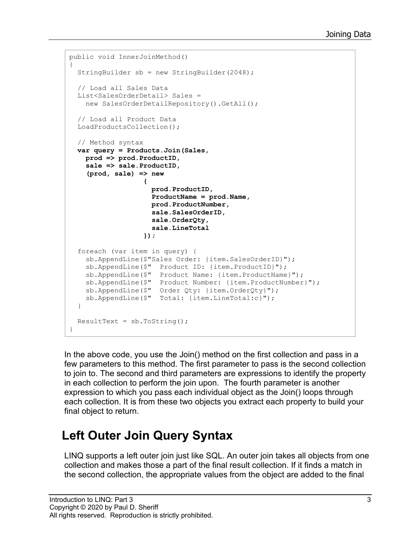```
public void InnerJoinMethod()
{
   StringBuilder sb = new StringBuilder(2048);
   // Load all Sales Data
   List<SalesOrderDetail> Sales =
    new SalesOrderDetailRepository().GetAll();
   // Load all Product Data
   LoadProductsCollection();
   // Method syntax
   var query = Products.Join(Sales,
     prod => prod.ProductID,
     sale => sale.ProductID,
      (prod, sale) => new
\bf{r} \bf{r} \bf{r} \bf{r} \bf{r} \bf{r} \bf{r} \bf{r} \bf{r} \bf{r} \bf{r} \bf{r} \bf{r} \bf{r} \bf{r} \bf{r} \bf{r} \bf{r} \bf{r} \bf{r} \bf{r} \bf{r} \bf{r} \bf{r} \bf{r} \bf{r} \bf{r} \bf{r prod.ProductID,
                         ProductName = prod.Name,
                         prod.ProductNumber,
                         sale.SalesOrderID,
                         sale.OrderQty,
                         sale.LineTotal
 });
   foreach (var item in query) {
     sb.AppendLine($"Sales Order: {item.SalesOrderID}");
     sb.AppendLine($" Product ID: {item.ProductID}");
     sb.AppendLine($" Product Name: {item.ProductName}");
 sb.AppendLine($" Product Number: {item.ProductNumber}");
 sb.AppendLine($" Order Qty: {item.OrderQty}");
     sb.AppendLine($" Total: {item.LineTotal:c}");
   }
  ResultText = sb.ToString();
}
```
In the above code, you use the Join() method on the first collection and pass in a few parameters to this method. The first parameter to pass is the second collection to join to. The second and third parameters are expressions to identify the property in each collection to perform the join upon. The fourth parameter is another expression to which you pass each individual object as the Join() loops through each collection. It is from these two objects you extract each property to build your final object to return.

#### **Left Outer Join Query Syntax**

LINQ supports a left outer join just like SQL. An outer join takes all objects from one collection and makes those a part of the final result collection. If it finds a match in the second collection, the appropriate values from the object are added to the final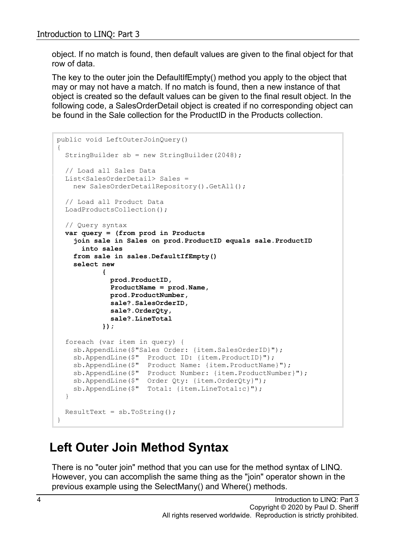object. If no match is found, then default values are given to the final object for that row of data.

The key to the outer join the DefaultIfEmpty() method you apply to the object that may or may not have a match. If no match is found, then a new instance of that object is created so the default values can be given to the final result object. In the following code, a SalesOrderDetail object is created if no corresponding object can be found in the Sale collection for the ProductID in the Products collection.

```
public void LeftOuterJoinQuery()
{
   StringBuilder sb = new StringBuilder(2048);
   // Load all Sales Data
   List<SalesOrderDetail> Sales =
   new SalesOrderDetailRepository().GetAll();
   // Load all Product Data
   LoadProductsCollection();
   // Query syntax
  var query = (from prod in Products
     join sale in Sales on prod.ProductID equals sale.ProductID
       into sales
     from sale in sales.DefaultIfEmpty()
     select new
 {
              prod.ProductID,
              ProductName = prod.Name,
              prod.ProductNumber,
              sale?.SalesOrderID,
              sale?.OrderQty,
              sale?.LineTotal
            });
   foreach (var item in query) {
    sb.AppendLine($"Sales Order: {item.SalesOrderID}");
    sb.AppendLine($" Product ID: {item.ProductID}");
    sb.AppendLine($" Product Name: {item.ProductName}");
 sb.AppendLine($" Product Number: {item.ProductNumber}");
 sb.AppendLine($" Order Qty: {item.OrderQty}");
     sb.AppendLine($" Total: {item.LineTotal:c}");
   }
 ResultText = sb.ToString();
}
```
## **Left Outer Join Method Syntax**

There is no "outer join" method that you can use for the method syntax of LINQ. However, you can accomplish the same thing as the "join" operator shown in the previous example using the SelectMany() and Where() methods.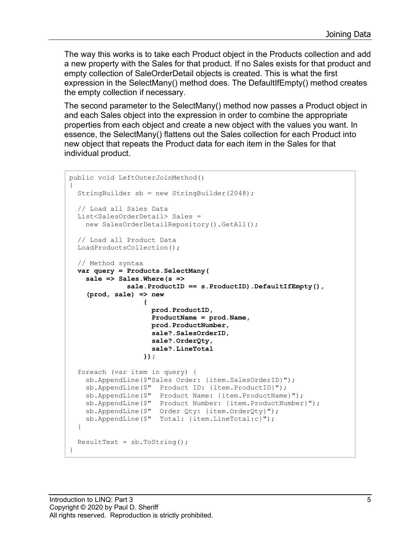The way this works is to take each Product object in the Products collection and add a new property with the Sales for that product. If no Sales exists for that product and empty collection of SaleOrderDetail objects is created. This is what the first expression in the SelectMany() method does. The DefaultIfEmpty() method creates the empty collection if necessary.

The second parameter to the SelectMany() method now passes a Product object in and each Sales object into the expression in order to combine the appropriate properties from each object and create a new object with the values you want. In essence, the SelectMany() flattens out the Sales collection for each Product into new object that repeats the Product data for each item in the Sales for that individual product.

```
public void LeftOuterJoinMethod()
\left\{ \right. StringBuilder sb = new StringBuilder(2048);
   // Load all Sales Data
   List<SalesOrderDetail> Sales =
    new SalesOrderDetailRepository().GetAll();
   // Load all Product Data
   LoadProductsCollection();
   // Method syntax
   var query = Products.SelectMany(
      sale => Sales.Where(s => 
                  sale.ProductID == s.ProductID).DefaultIfEmpty(),
      (prod, sale) => new
\bf{r} \bf{r} \bf{r} \bf{r} \bf{r} \bf{r} \bf{r} \bf{r} \bf{r} \bf{r} \bf{r} \bf{r} \bf{r} \bf{r} \bf{r} \bf{r} \bf{r} \bf{r} \bf{r} \bf{r} \bf{r} \bf{r} \bf{r} \bf{r} \bf{r} \bf{r} \bf{r} \bf{r prod.ProductID,
                          ProductName = prod.Name,
                          prod.ProductNumber,
                          sale?.SalesOrderID,
                          sale?.OrderQty,
                          sale?.LineTotal
                       });
   foreach (var item in query) {
      sb.AppendLine($"Sales Order: {item.SalesOrderID}");
 sb.AppendLine($" Product ID: {item.ProductID}");
 sb.AppendLine($" Product Name: {item.ProductName}");
      sb.AppendLine($" Product Number: {item.ProductNumber}");
      sb.AppendLine($" Order Qty: {item.OrderQty}");
      sb.AppendLine($" Total: {item.LineTotal:c}");
   }
  ResultText = sb.ToString();
}
```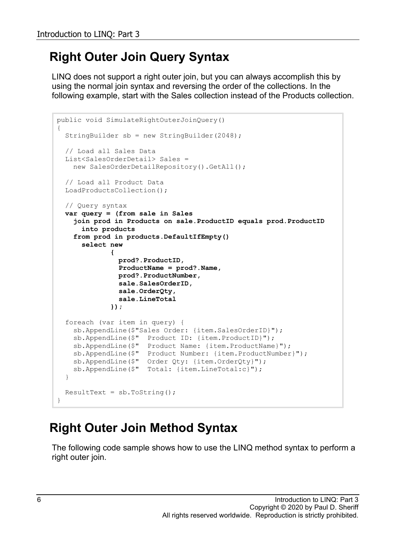## **Right Outer Join Query Syntax**

LINQ does not support a right outer join, but you can always accomplish this by using the normal join syntax and reversing the order of the collections. In the following example, start with the Sales collection instead of the Products collection.

```
public void SimulateRightOuterJoinQuery()
{
   StringBuilder sb = new StringBuilder(2048);
   // Load all Sales Data
   List<SalesOrderDetail> Sales = 
   new SalesOrderDetailRepository().GetAll();
   // Load all Product Data
  LoadProductsCollection();
   // Query syntax
  var query = (from sale in Sales
     join prod in Products on sale.ProductID equals prod.ProductID 
       into products
     from prod in products.DefaultIfEmpty()
       select new
 {
                prod?.ProductID,
                ProductName = prod?.Name,
                prod?.ProductNumber,
                sale.SalesOrderID,
                sale.OrderQty,
                sale.LineTotal
              });
   foreach (var item in query) {
     sb.AppendLine($"Sales Order: {item.SalesOrderID}");
     sb.AppendLine($" Product ID: {item.ProductID}");
    sb.AppendLine($" Product Name: {item.ProductName}");
    sb.AppendLine($" Product Number: {item.ProductNumber}");
     sb.AppendLine($" Order Qty: {item.OrderQty}");
     sb.AppendLine($" Total: {item.LineTotal:c}");
   }
 ResultText = sb.ToString();
}
```
## **Right Outer Join Method Syntax**

The following code sample shows how to use the LINQ method syntax to perform a right outer join.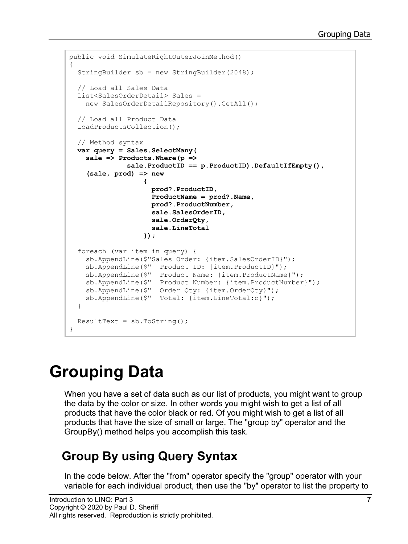```
public void SimulateRightOuterJoinMethod()
{
   StringBuilder sb = new StringBuilder(2048);
   // Load all Sales Data
   List<SalesOrderDetail> Sales = 
    new SalesOrderDetailRepository().GetAll();
   // Load all Product Data
   LoadProductsCollection();
   // Method syntax
   var query = Sales.SelectMany(
     sale => Products.Where(p => 
                 sale.ProductID == p.ProductID).DefaultIfEmpty(),
      (sale, prod) => new
\bf{r} \bf{r} \bf{r} \bf{r} \bf{r} \bf{r} \bf{r} \bf{r} \bf{r} \bf{r} \bf{r} \bf{r} \bf{r} \bf{r} \bf{r} \bf{r} \bf{r} \bf{r} \bf{r} \bf{r} \bf{r} \bf{r} \bf{r} \bf{r} \bf{r} \bf{r} \bf{r} \bf{r prod?.ProductID,
                         ProductName = prod?.Name,
                         prod?.ProductNumber,
                         sale.SalesOrderID,
                         sale.OrderQty,
                         sale.LineTotal
 });
   foreach (var item in query) {
     sb.AppendLine($"Sales Order: {item.SalesOrderID}");
     sb.AppendLine($" Product ID: {item.ProductID}");
     sb.AppendLine($" Product Name: {item.ProductName}");
 sb.AppendLine($" Product Number: {item.ProductNumber}");
 sb.AppendLine($" Order Qty: {item.OrderQty}");
     sb.AppendLine($" Total: {item.LineTotal:c}");
   }
  ResultText = sb.ToString();
}
```
# **Grouping Data**

When you have a set of data such as our list of products, you might want to group the data by the color or size. In other words you might wish to get a list of all products that have the color black or red. Of you might wish to get a list of all products that have the size of small or large. The "group by" operator and the GroupBy() method helps you accomplish this task.

## **Group By using Query Syntax**

In the code below. After the "from" operator specify the "group" operator with your variable for each individual product, then use the "by" operator to list the property to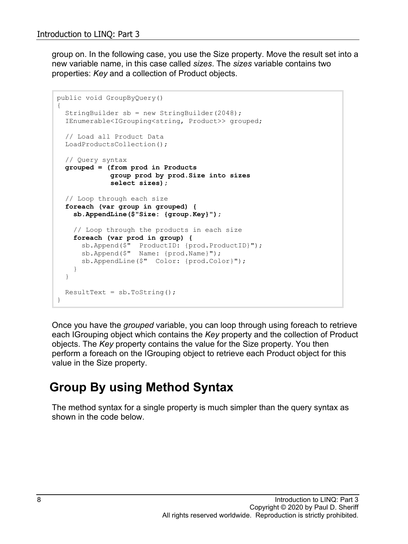group on. In the following case, you use the Size property. Move the result set into a new variable name, in this case called *sizes*. The *sizes* variable contains two properties: *Key* and a collection of Product objects.

```
public void GroupByQuery()
{
   StringBuilder sb = new StringBuilder(2048);
   IEnumerable<IGrouping<string, Product>> grouped;
   // Load all Product Data
   LoadProductsCollection();
   // Query syntax
   grouped = (from prod in Products
              group prod by prod.Size into sizes
              select sizes);
   // Loop through each size
   foreach (var group in grouped) {
     sb.AppendLine($"Size: {group.Key}");
     // Loop through the products in each size
     foreach (var prod in group) {
       sb.Append($" ProductID: {prod.ProductID}");
       sb.Append($" Name: {prod.Name}");
       sb.AppendLine($" Color: {prod.Color}");
     }
   }
 ResultText = sb.ToString();
}
```
Once you have the *grouped* variable, you can loop through using foreach to retrieve each IGrouping object which contains the *Key* property and the collection of Product objects. The *Key* property contains the value for the Size property. You then perform a foreach on the IGrouping object to retrieve each Product object for this value in the Size property.

#### **Group By using Method Syntax**

The method syntax for a single property is much simpler than the query syntax as shown in the code below.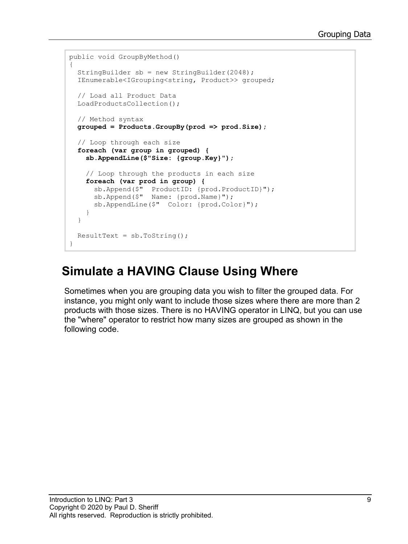```
public void GroupByMethod()
{
   StringBuilder sb = new StringBuilder(2048);
   IEnumerable<IGrouping<string, Product>> grouped;
   // Load all Product Data
   LoadProductsCollection();
   // Method syntax
   grouped = Products.GroupBy(prod => prod.Size);
   // Loop through each size
   foreach (var group in grouped) {
     sb.AppendLine($"Size: {group.Key}");
     // Loop through the products in each size
     foreach (var prod in group) {
       sb.Append($" ProductID: {prod.ProductID}");
       sb.Append($" Name: {prod.Name}");
       sb.AppendLine($" Color: {prod.Color}");
     }
   }
 ResultText = sb.ToString();
}
```
#### **Simulate a HAVING Clause Using Where**

Sometimes when you are grouping data you wish to filter the grouped data. For instance, you might only want to include those sizes where there are more than 2 products with those sizes. There is no HAVING operator in LINQ, but you can use the "where" operator to restrict how many sizes are grouped as shown in the following code.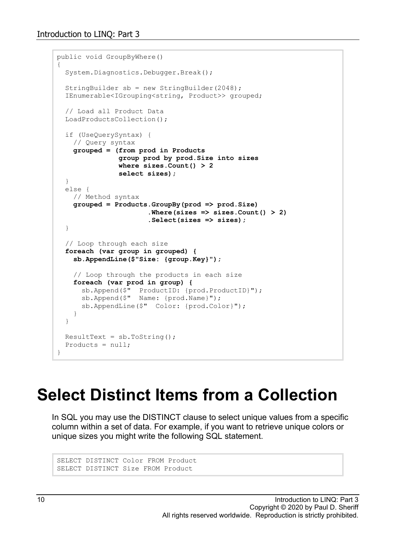```
public void GroupByWhere()
{
   System.Diagnostics.Debugger.Break();
   StringBuilder sb = new StringBuilder(2048);
   IEnumerable<IGrouping<string, Product>> grouped;
   // Load all Product Data
  LoadProductsCollection();
   if (UseQuerySyntax) {
    // Query syntax
     grouped = (from prod in Products
                group prod by prod.Size into sizes
                where sizes.Count() > 2
                select sizes);
   }
  else {
    // Method syntax
     grouped = Products.GroupBy(prod => prod.Size)
                        .Where(sizes => sizes.Count() > 2)
                        .Select(sizes => sizes);
   }
   // Loop through each size
   foreach (var group in grouped) {
     sb.AppendLine($"Size: {group.Key}");
     // Loop through the products in each size
     foreach (var prod in group) {
       sb.Append($" ProductID: {prod.ProductID}");
       sb.Append($" Name: {prod.Name}");
       sb.AppendLine($" Color: {prod.Color}");
     }
   }
 ResultText = sb.ToString();
  Products = null;}
```
# **Select Distinct Items from a Collection**

In SQL you may use the DISTINCT clause to select unique values from a specific column within a set of data. For example, if you want to retrieve unique colors or unique sizes you might write the following SQL statement.

```
SELECT DISTINCT Color FROM Product
SELECT DISTINCT Size FROM Product
```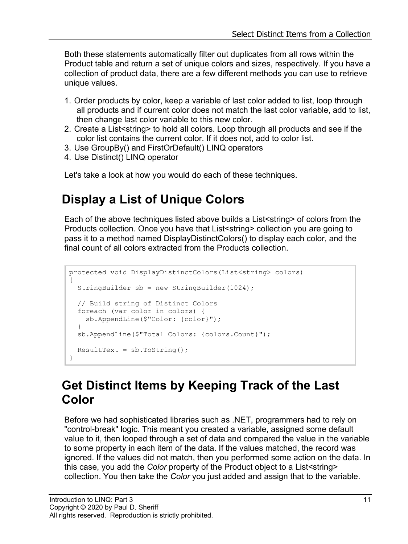Both these statements automatically filter out duplicates from all rows within the Product table and return a set of unique colors and sizes, respectively. If you have a collection of product data, there are a few different methods you can use to retrieve unique values.

- 1. Order products by color, keep a variable of last color added to list, loop through all products and if current color does not match the last color variable, add to list, then change last color variable to this new color.
- 2. Create a List<string> to hold all colors. Loop through all products and see if the color list contains the current color. If it does not, add to color list.
- 3. Use GroupBy() and FirstOrDefault() LINQ operators
- 4. Use Distinct() LINQ operator

Let's take a look at how you would do each of these techniques.

#### **Display a List of Unique Colors**

Each of the above techniques listed above builds a List<string> of colors from the Products collection. Once you have that List<string> collection you are going to pass it to a method named DisplayDistinctColors() to display each color, and the final count of all colors extracted from the Products collection.

```
protected void DisplayDistinctColors(List<string> colors)
{
   StringBuilder sb = new StringBuilder(1024);
   // Build string of Distinct Colors
   foreach (var color in colors) {
    sb.AppendLine($"Color: {color}");
   }
   sb.AppendLine($"Total Colors: {colors.Count}");
  ResultText = sb.ToString();
}
```
#### **Get Distinct Items by Keeping Track of the Last Color**

Before we had sophisticated libraries such as .NET, programmers had to rely on "control-break" logic. This meant you created a variable, assigned some default value to it, then looped through a set of data and compared the value in the variable to some property in each item of the data. If the values matched, the record was ignored. If the values did not match, then you performed some action on the data. In this case, you add the *Color* property of the Product object to a List<string> collection. You then take the *Color* you just added and assign that to the variable.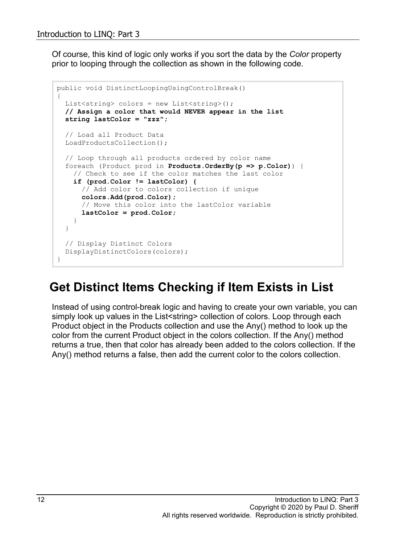Of course, this kind of logic only works if you sort the data by the *Color* property prior to looping through the collection as shown in the following code.

```
public void DistinctLoopingUsingControlBreak()
{
 List<string> colors = new List<string>();
   // Assign a color that would NEVER appear in the list
   string lastColor = "zzz";
   // Load all Product Data
   LoadProductsCollection();
   // Loop through all products ordered by color name
   foreach (Product prod in Products.OrderBy(p => p.Color)) {
     // Check to see if the color matches the last color
     if (prod.Color != lastColor) {
       // Add color to colors collection if unique
       colors.Add(prod.Color);
       // Move this color into the lastColor variable
       lastColor = prod.Color;
     }
   }
   // Display Distinct Colors
  DisplayDistinctColors(colors);
}
```
#### **Get Distinct Items Checking if Item Exists in List**

Instead of using control-break logic and having to create your own variable, you can simply look up values in the List<string> collection of colors. Loop through each Product object in the Products collection and use the Any() method to look up the color from the current Product object in the colors collection. If the Any() method returns a true, then that color has already been added to the colors collection. If the Any() method returns a false, then add the current color to the colors collection.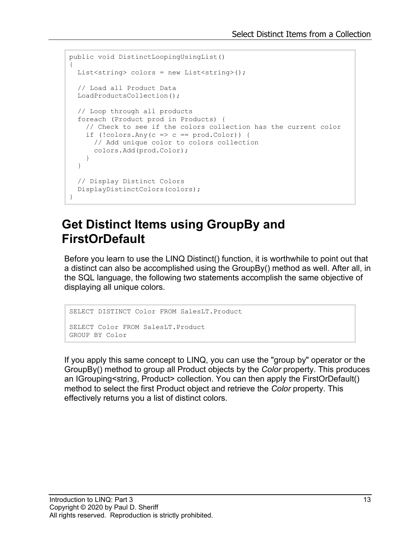```
public void DistinctLoopingUsingList()
{
 List<string> colors = new List<string>();
   // Load all Product Data
  LoadProductsCollection();
   // Loop through all products
   foreach (Product prod in Products) {
     // Check to see if the colors collection has the current color
    if (!colors.Any(c => c == prod.Color) {
      // Add unique color to colors collection
      colors.Add(prod.Color);
     }
   }
   // Display Distinct Colors
   DisplayDistinctColors(colors);
}
```
#### **Get Distinct Items using GroupBy and FirstOrDefault**

Before you learn to use the LINQ Distinct() function, it is worthwhile to point out that a distinct can also be accomplished using the GroupBy() method as well. After all, in the SQL language, the following two statements accomplish the same objective of displaying all unique colors.

```
SELECT DISTINCT Color FROM SalesLT.Product
SELECT Color FROM SalesLT.Product
GROUP BY Color
```
If you apply this same concept to LINQ, you can use the "group by" operator or the GroupBy() method to group all Product objects by the *Color* property. This produces an IGrouping<string, Product> collection. You can then apply the FirstOrDefault() method to select the first Product object and retrieve the *Color* property. This effectively returns you a list of distinct colors.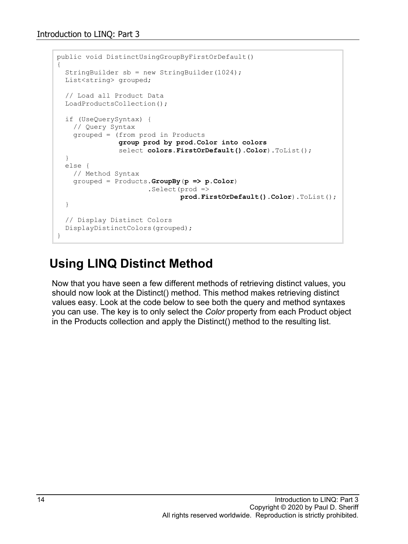```
public void DistinctUsingGroupByFirstOrDefault()
{
   StringBuilder sb = new StringBuilder(1024);
  List<string> grouped;
   // Load all Product Data
  LoadProductsCollection();
   if (UseQuerySyntax) {
    // Query Syntax
     grouped = (from prod in Products
                group prod by prod.Color into colors
                 select colors.FirstOrDefault().Color).ToList();
   }
   else {
     // Method Syntax
     grouped = Products.GroupBy(p => p.Color)
                       .Select(prod =>
                               prod.FirstOrDefault().Color).ToList();
   }
   // Display Distinct Colors
   DisplayDistinctColors(grouped);
}
```
#### **Using LINQ Distinct Method**

Now that you have seen a few different methods of retrieving distinct values, you should now look at the Distinct() method. This method makes retrieving distinct values easy. Look at the code below to see both the query and method syntaxes you can use. The key is to only select the *Color* property from each Product object in the Products collection and apply the Distinct() method to the resulting list.